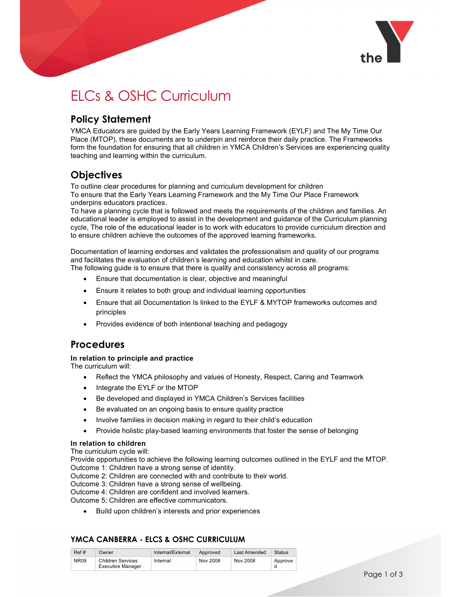

# ELCs & OSHC Curriculum

## Policy Statement

YMCA Educators are guided by the Early Years Learning Framework (EYLF) and The My Time Our Place (MTOP), these documents are to underpin and reinforce their daily practice. The Frameworks form the foundation for ensuring that all children in YMCA Children's Services are experiencing quality teaching and learning within the curriculum.

# **Objectives**

To outline clear procedures for planning and curriculum development for children To ensure that the Early Years Learning Framework and the My Time Our Place Framework underpins educators practices.

To have a planning cycle that is followed and meets the requirements of the children and families. An educational leader is employed to assist in the development and guidance of the Curriculum planning cycle, The role of the educational leader is to work with educators to provide curriculum direction and to ensure children achieve the outcomes of the approved learning frameworks.

Documentation of learning endorses and validates the professionalism and quality of our programs and facilitates the evaluation of children's learning and education whilst in care. The following guide is to ensure that there is quality and consistency across all programs:

- Ensure that documentation is clear, objective and meaningful
- Ensure it relates to both group and individual learning opportunities
- Ensure that all Documentation Is linked to the EYLF & MYTOP frameworks outcomes and principles
- Provides evidence of both intentional teaching and pedagogy

### Procedures

#### In relation to principle and practice

The curriculum will:

- Reflect the YMCA philosophy and values of Honesty, Respect, Caring and Teamwork
- Integrate the EYLF or the MTOP
- Be developed and displayed in YMCA Children's Services facilities
- Be evaluated on an ongoing basis to ensure quality practice
- Involve families in decision making in regard to their child's education
- Provide holistic play-based learning environments that foster the sense of belonging

#### In relation to children

The curriculum cycle will:

Provide opportunities to achieve the following learning outcomes outlined in the EYLF and the MTOP. Outcome 1: Children have a strong sense of identity.

Outcome 2: Children are connected with and contribute to their world.

Outcome 3: Children have a strong sense of wellbeing.

Outcome 4: Children are confident and involved learners.

Outcome 5: Children are effective communicators.

Build upon children's interests and prior experiences

### YMCA CANBERRA - ELCS & OSHC CURRICULUM

| Ref#        | Owner                    | Internal/External | Approved | Last Amended | <b>Status</b> |
|-------------|--------------------------|-------------------|----------|--------------|---------------|
| <b>NR09</b> | <b>Children Services</b> | Internal          | Nov 2008 | Nov 2008     | Approve       |
|             | <b>Executive Manager</b> |                   |          |              |               |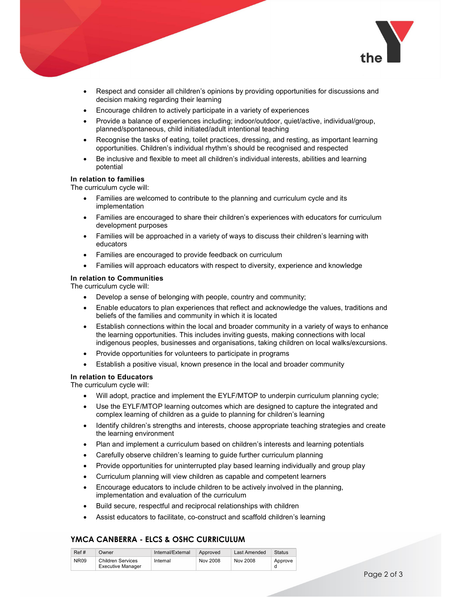

- Respect and consider all children's opinions by providing opportunities for discussions and decision making regarding their learning
- Encourage children to actively participate in a variety of experiences
- Provide a balance of experiences including; indoor/outdoor, quiet/active, individual/group, planned/spontaneous, child initiated/adult intentional teaching
- Recognise the tasks of eating, toilet practices, dressing, and resting, as important learning opportunities. Children's individual rhythm's should be recognised and respected
- Be inclusive and flexible to meet all children's individual interests, abilities and learning potential

#### In relation to families

The curriculum cycle will:

- Families are welcomed to contribute to the planning and curriculum cycle and its implementation
- Families are encouraged to share their children's experiences with educators for curriculum development purposes
- Families will be approached in a variety of ways to discuss their children's learning with educators
- Families are encouraged to provide feedback on curriculum
- Families will approach educators with respect to diversity, experience and knowledge

#### In relation to Communities

The curriculum cycle will:

- Develop a sense of belonging with people, country and community;
- Enable educators to plan experiences that reflect and acknowledge the values, traditions and beliefs of the families and community in which it is located
- Establish connections within the local and broader community in a variety of ways to enhance the learning opportunities. This includes inviting guests, making connections with local indigenous peoples, businesses and organisations, taking children on local walks/excursions.
- Provide opportunities for volunteers to participate in programs
- Establish a positive visual, known presence in the local and broader community

#### In relation to Educators

The curriculum cycle will:

- Will adopt, practice and implement the EYLF/MTOP to underpin curriculum planning cycle;
- Use the EYLF/MTOP learning outcomes which are designed to capture the integrated and complex learning of children as a guide to planning for children's learning
- Identify children's strengths and interests, choose appropriate teaching strategies and create the learning environment
- Plan and implement a curriculum based on children's interests and learning potentials
- Carefully observe children's learning to guide further curriculum planning
- Provide opportunities for uninterrupted play based learning individually and group play
- Curriculum planning will view children as capable and competent learners
- Encourage educators to include children to be actively involved in the planning, implementation and evaluation of the curriculum
- Build secure, respectful and reciprocal relationships with children
- Assist educators to facilitate, co-construct and scaffold children's learning

#### YMCA CANBERRA - ELCS & OSHC CURRICULUM

| Ref#        | Owner                    | Internal/External | Approved | Last Amended | <b>Status</b> |
|-------------|--------------------------|-------------------|----------|--------------|---------------|
| <b>NR09</b> | <b>Children Services</b> | Internal          | Nov 2008 | Nov 2008     | Approve       |
|             | Executive Manager        |                   |          |              |               |